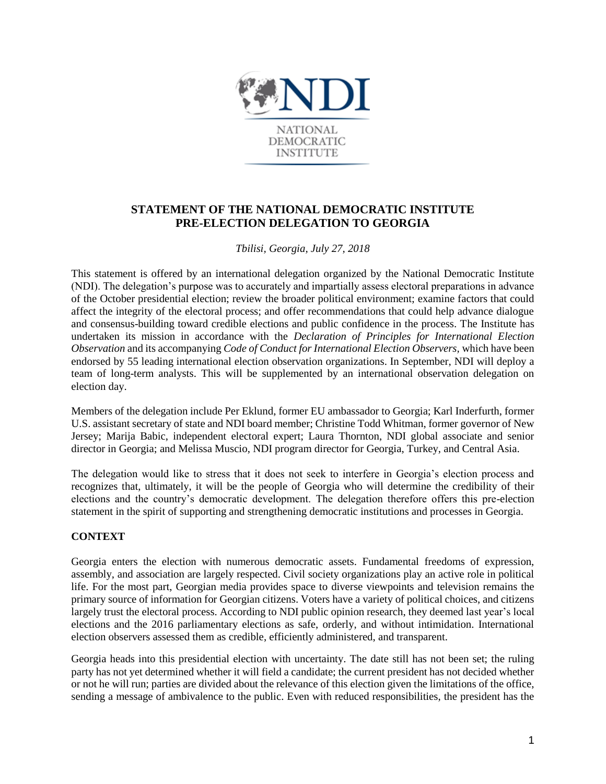

# **STATEMENT OF THE NATIONAL DEMOCRATIC INSTITUTE PRE-ELECTION DELEGATION TO GEORGIA**

### *Tbilisi, Georgia, July 27, 2018*

This statement is offered by an international delegation organized by the National Democratic Institute (NDI). The delegation's purpose was to accurately and impartially assess electoral preparations in advance of the October presidential election; review the broader political environment; examine factors that could affect the integrity of the electoral process; and offer recommendations that could help advance dialogue and consensus-building toward credible elections and public confidence in the process. The Institute has undertaken its mission in accordance with the *Declaration of Principles for International Election Observation* and its accompanying *Code of Conduct for International Election Observers,* which have been endorsed by 55 leading international election observation organizations. In September, NDI will deploy a team of long-term analysts. This will be supplemented by an international observation delegation on election day.

Members of the delegation include Per Eklund, former EU ambassador to Georgia; Karl Inderfurth, former U.S. assistant secretary of state and NDI board member; Christine Todd Whitman, former governor of New Jersey; Marija Babic, independent electoral expert; Laura Thornton, NDI global associate and senior director in Georgia; and Melissa Muscio, NDI program director for Georgia, Turkey, and Central Asia.

The delegation would like to stress that it does not seek to interfere in Georgia's election process and recognizes that, ultimately, it will be the people of Georgia who will determine the credibility of their elections and the country's democratic development. The delegation therefore offers this pre-election statement in the spirit of supporting and strengthening democratic institutions and processes in Georgia.

### **CONTEXT**

Georgia enters the election with numerous democratic assets. Fundamental freedoms of expression, assembly, and association are largely respected. Civil society organizations play an active role in political life. For the most part, Georgian media provides space to diverse viewpoints and television remains the primary source of information for Georgian citizens. Voters have a variety of political choices, and citizens largely trust the electoral process. According to NDI public opinion research, they deemed last year's local elections and the 2016 parliamentary elections as safe, orderly, and without intimidation. International election observers assessed them as credible, efficiently administered, and transparent.

Georgia heads into this presidential election with uncertainty. The date still has not been set; the ruling party has not yet determined whether it will field a candidate; the current president has not decided whether or not he will run; parties are divided about the relevance of this election given the limitations of the office, sending a message of ambivalence to the public. Even with reduced responsibilities, the president has the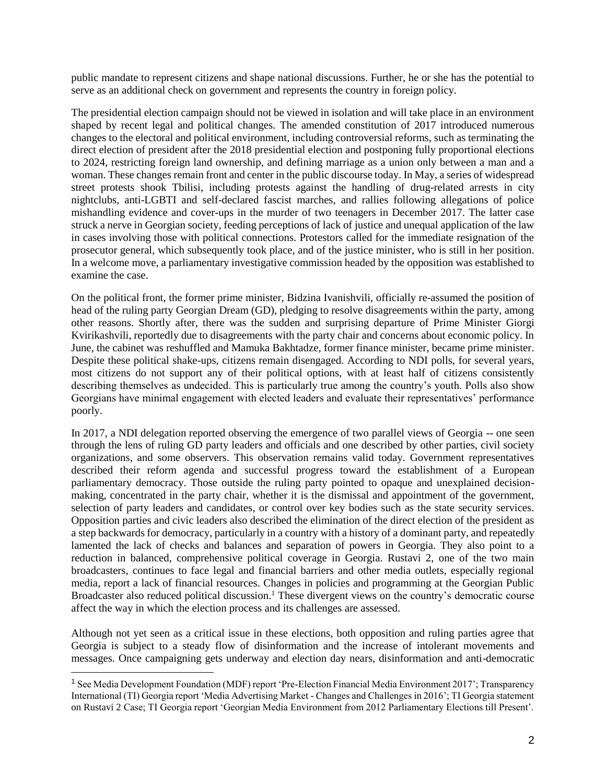public mandate to represent citizens and shape national discussions. Further, he or she has the potential to serve as an additional check on government and represents the country in foreign policy.

The presidential election campaign should not be viewed in isolation and will take place in an environment shaped by recent legal and political changes. The amended constitution of 2017 introduced numerous changes to the electoral and political environment, including controversial reforms, such as terminating the direct election of president after the 2018 presidential election and postponing fully proportional elections to 2024, restricting foreign land ownership, and defining marriage as a union only between a man and a woman. These changes remain front and center in the public discourse today. In May, a series of widespread street protests shook Tbilisi, including protests against the handling of drug-related arrests in city nightclubs, anti-LGBTI and self-declared fascist marches, and rallies following allegations of police mishandling evidence and cover-ups in the murder of two teenagers in December 2017. The latter case struck a nerve in Georgian society, feeding perceptions of lack of justice and unequal application of the law in cases involving those with political connections. Protestors called for the immediate resignation of the prosecutor general, which subsequently took place, and of the justice minister, who is still in her position. In a welcome move, a parliamentary investigative commission headed by the opposition was established to examine the case.

On the political front, the former prime minister, Bidzina Ivanishvili, officially re-assumed the position of head of the ruling party Georgian Dream (GD), pledging to resolve disagreements within the party, among other reasons. Shortly after, there was the sudden and surprising departure of Prime Minister Giorgi Kvirikashvili, reportedly due to disagreements with the party chair and concerns about economic policy. In June, the cabinet was reshuffled and Mamuka Bakhtadze, former finance minister, became prime minister. Despite these political shake-ups, citizens remain disengaged. According to NDI polls, for several years, most citizens do not support any of their political options, with at least half of citizens consistently describing themselves as undecided. This is particularly true among the country's youth. Polls also show Georgians have minimal engagement with elected leaders and evaluate their representatives' performance poorly.

In 2017, a NDI delegation reported observing the emergence of two parallel views of Georgia -- one seen through the lens of ruling GD party leaders and officials and one described by other parties, civil society organizations, and some observers. This observation remains valid today. Government representatives described their reform agenda and successful progress toward the establishment of a European parliamentary democracy. Those outside the ruling party pointed to opaque and unexplained decisionmaking, concentrated in the party chair, whether it is the dismissal and appointment of the government, selection of party leaders and candidates, or control over key bodies such as the state security services. Opposition parties and civic leaders also described the elimination of the direct election of the president as a step backwards for democracy, particularly in a country with a history of a dominant party, and repeatedly lamented the lack of checks and balances and separation of powers in Georgia. They also point to a reduction in balanced, comprehensive political coverage in Georgia. Rustavi 2, one of the two main broadcasters, continues to face legal and financial barriers and other media outlets, especially regional media, report a lack of financial resources. Changes in policies and programming at the Georgian Public Broadcaster also reduced political discussion.<sup>1</sup> These divergent views on the country's democratic course affect the way in which the election process and its challenges are assessed.

Although not yet seen as a critical issue in these elections, both opposition and ruling parties agree that Georgia is subject to a steady flow of disinformation and the increase of intolerant movements and messages. Once campaigning gets underway and election day nears, disinformation and anti-democratic

 $\overline{a}$ 

<sup>1</sup> See Media Development Foundation (MDF) report 'Pre-Election Financial Media Environment 2017'; Transparency International (TI) Georgia report 'Media Advertising Market - Changes and Challenges in 2016'; TI Georgia statement on Rustavi 2 Case; TI Georgia report 'Georgian Media Environment from 2012 Parliamentary Elections till Present'.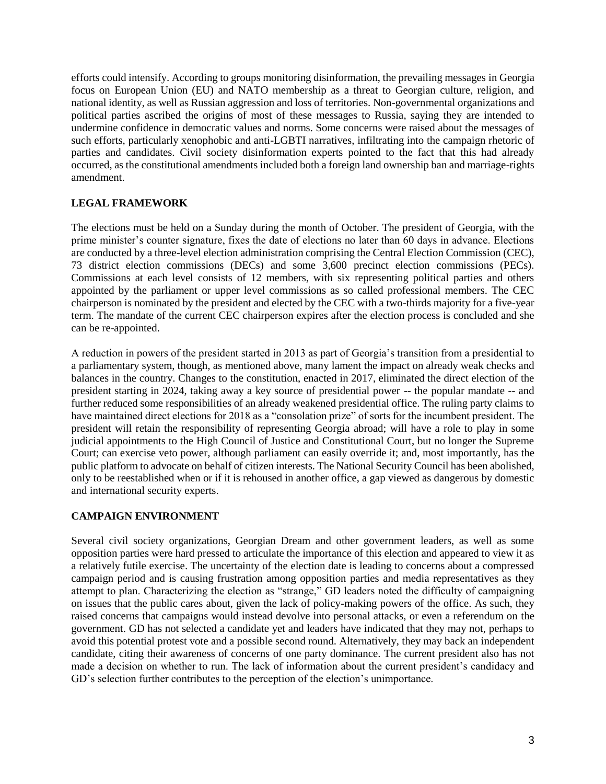efforts could intensify. According to groups monitoring disinformation, the prevailing messages in Georgia focus on European Union (EU) and NATO membership as a threat to Georgian culture, religion, and national identity, as well as Russian aggression and loss of territories. Non-governmental organizations and political parties ascribed the origins of most of these messages to Russia, saying they are intended to undermine confidence in democratic values and norms. Some concerns were raised about the messages of such efforts, particularly xenophobic and anti-LGBTI narratives, infiltrating into the campaign rhetoric of parties and candidates. Civil society disinformation experts pointed to the fact that this had already occurred, as the constitutional amendments included both a foreign land ownership ban and marriage-rights amendment.

#### **LEGAL FRAMEWORK**

The elections must be held on a Sunday during the month of October. The president of Georgia, with the prime minister's counter signature, fixes the date of elections no later than 60 days in advance. Elections are conducted by a three-level election administration comprising the Central Election Commission (CEC), 73 district election commissions (DECs) and some 3,600 precinct election commissions (PECs). Commissions at each level consists of 12 members, with six representing political parties and others appointed by the parliament or upper level commissions as so called professional members. The CEC chairperson is nominated by the president and elected by the CEC with a two-thirds majority for a five-year term. The mandate of the current CEC chairperson expires after the election process is concluded and she can be re-appointed.

A reduction in powers of the president started in 2013 as part of Georgia's transition from a presidential to a parliamentary system, though, as mentioned above, many lament the impact on already weak checks and balances in the country. Changes to the constitution, enacted in 2017, eliminated the direct election of the president starting in 2024, taking away a key source of presidential power -- the popular mandate -- and further reduced some responsibilities of an already weakened presidential office. The ruling party claims to have maintained direct elections for 2018 as a "consolation prize" of sorts for the incumbent president. The president will retain the responsibility of representing Georgia abroad; will have a role to play in some judicial appointments to the High Council of Justice and Constitutional Court, but no longer the Supreme Court; can exercise veto power, although parliament can easily override it; and, most importantly, has the public platform to advocate on behalf of citizen interests. The National Security Council has been abolished, only to be reestablished when or if it is rehoused in another office, a gap viewed as dangerous by domestic and international security experts.

#### **CAMPAIGN ENVIRONMENT**

Several civil society organizations, Georgian Dream and other government leaders, as well as some opposition parties were hard pressed to articulate the importance of this election and appeared to view it as a relatively futile exercise. The uncertainty of the election date is leading to concerns about a compressed campaign period and is causing frustration among opposition parties and media representatives as they attempt to plan. Characterizing the election as "strange," GD leaders noted the difficulty of campaigning on issues that the public cares about, given the lack of policy-making powers of the office. As such, they raised concerns that campaigns would instead devolve into personal attacks, or even a referendum on the government. GD has not selected a candidate yet and leaders have indicated that they may not, perhaps to avoid this potential protest vote and a possible second round. Alternatively, they may back an independent candidate, citing their awareness of concerns of one party dominance. The current president also has not made a decision on whether to run. The lack of information about the current president's candidacy and GD's selection further contributes to the perception of the election's unimportance.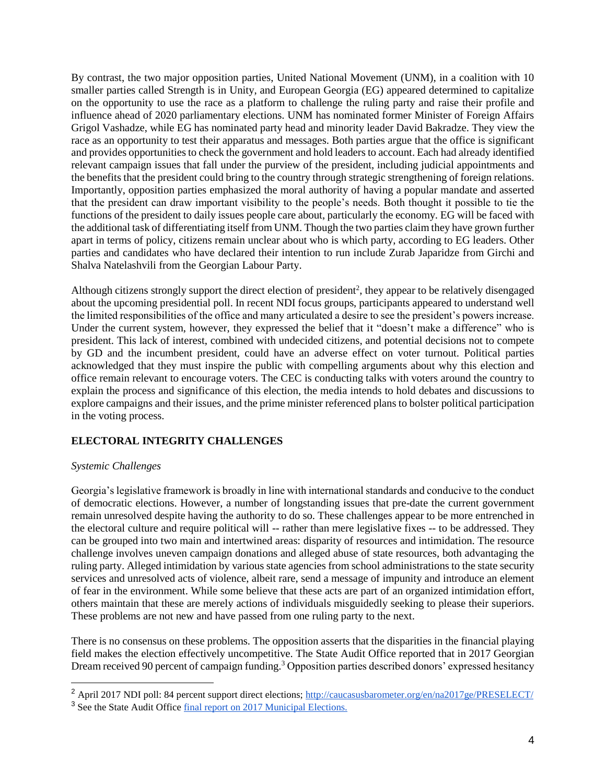By contrast, the two major opposition parties, United National Movement (UNM), in a coalition with 10 smaller parties called Strength is in Unity, and European Georgia (EG) appeared determined to capitalize on the opportunity to use the race as a platform to challenge the ruling party and raise their profile and influence ahead of 2020 parliamentary elections. UNM has nominated former Minister of Foreign Affairs Grigol Vashadze, while EG has nominated party head and minority leader David Bakradze. They view the race as an opportunity to test their apparatus and messages. Both parties argue that the office is significant and provides opportunities to check the government and hold leaders to account. Each had already identified relevant campaign issues that fall under the purview of the president, including judicial appointments and the benefits that the president could bring to the country through strategic strengthening of foreign relations. Importantly, opposition parties emphasized the moral authority of having a popular mandate and asserted that the president can draw important visibility to the people's needs. Both thought it possible to tie the functions of the president to daily issues people care about, particularly the economy. EG will be faced with the additional task of differentiating itself from UNM. Though the two parties claim they have grown further apart in terms of policy, citizens remain unclear about who is which party, according to EG leaders. Other parties and candidates who have declared their intention to run include Zurab Japaridze from Girchi and Shalva Natelashvili from the Georgian Labour Party.

Although citizens strongly support the direct election of president<sup>2</sup>, they appear to be relatively disengaged about the upcoming presidential poll. In recent NDI focus groups, participants appeared to understand well the limited responsibilities of the office and many articulated a desire to see the president's powers increase. Under the current system, however, they expressed the belief that it "doesn't make a difference" who is president. This lack of interest, combined with undecided citizens, and potential decisions not to compete by GD and the incumbent president, could have an adverse effect on voter turnout. Political parties acknowledged that they must inspire the public with compelling arguments about why this election and office remain relevant to encourage voters. The CEC is conducting talks with voters around the country to explain the process and significance of this election, the media intends to hold debates and discussions to explore campaigns and their issues, and the prime minister referenced plans to bolster political participation in the voting process.

## **ELECTORAL INTEGRITY CHALLENGES**

### *Systemic Challenges*

Georgia's legislative framework is broadly in line with international standards and conducive to the conduct of democratic elections. However, a number of longstanding issues that pre-date the current government remain unresolved despite having the authority to do so. These challenges appear to be more entrenched in the electoral culture and require political will -- rather than mere legislative fixes -- to be addressed. They can be grouped into two main and intertwined areas: disparity of resources and intimidation. The resource challenge involves uneven campaign donations and alleged abuse of state resources, both advantaging the ruling party. Alleged intimidation by various state agencies from school administrations to the state security services and unresolved acts of violence, albeit rare, send a message of impunity and introduce an element of fear in the environment. While some believe that these acts are part of an organized intimidation effort, others maintain that these are merely actions of individuals misguidedly seeking to please their superiors. These problems are not new and have passed from one ruling party to the next.

There is no consensus on these problems. The opposition asserts that the disparities in the financial playing field makes the election effectively uncompetitive. The State Audit Office reported that in 2017 Georgian Dream received 90 percent of campaign funding.<sup>3</sup> Opposition parties described donors' expressed hesitancy

<sup>&</sup>lt;sup>2</sup> April 2017 NDI poll: 84 percent support direct elections;<http://caucasusbarometer.org/en/na2017ge/PRESELECT/>

<sup>3</sup> See the State Audit Office [final report on 2017 Municipal Elections.](https://monitoring.sao.ge/files/2017-clis-archevnebi/%E1%83%90%E1%83%A0%E1%83%A9%E1%83%94%E1%83%95%E1%83%9C%E1%83%94%E1%83%91%E1%83%98%E1%83%A1%20III%20%E1%83%90%E1%83%9C%E1%83%92%E1%83%90%E1%83%A0%E1%83%98%E1%83%A8%E1%83%98.pdf)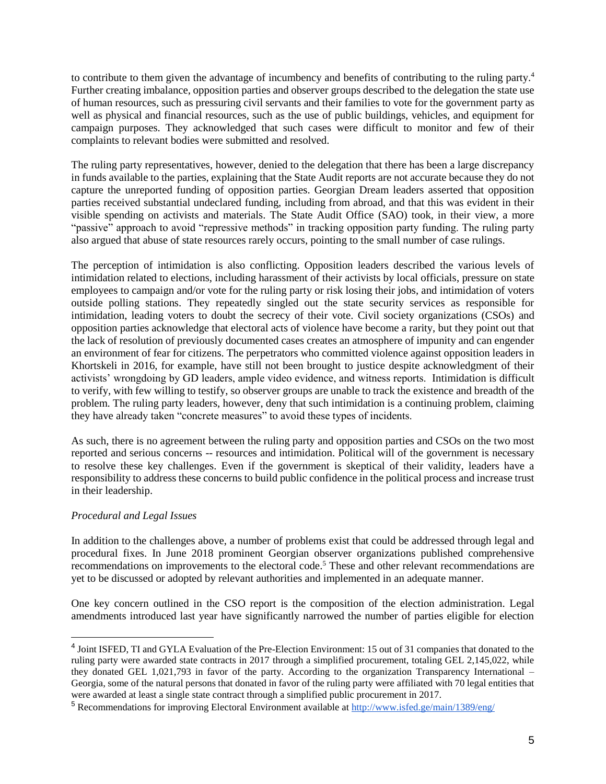to contribute to them given the advantage of incumbency and benefits of contributing to the ruling party.<sup>4</sup> Further creating imbalance, opposition parties and observer groups described to the delegation the state use of human resources, such as pressuring civil servants and their families to vote for the government party as well as physical and financial resources, such as the use of public buildings, vehicles, and equipment for campaign purposes. They acknowledged that such cases were difficult to monitor and few of their complaints to relevant bodies were submitted and resolved.

The ruling party representatives, however, denied to the delegation that there has been a large discrepancy in funds available to the parties, explaining that the State Audit reports are not accurate because they do not capture the unreported funding of opposition parties. Georgian Dream leaders asserted that opposition parties received substantial undeclared funding, including from abroad, and that this was evident in their visible spending on activists and materials. The State Audit Office (SAO) took, in their view, a more "passive" approach to avoid "repressive methods" in tracking opposition party funding. The ruling party also argued that abuse of state resources rarely occurs, pointing to the small number of case rulings.

The perception of intimidation is also conflicting. Opposition leaders described the various levels of intimidation related to elections, including harassment of their activists by local officials, pressure on state employees to campaign and/or vote for the ruling party or risk losing their jobs, and intimidation of voters outside polling stations. They repeatedly singled out the state security services as responsible for intimidation, leading voters to doubt the secrecy of their vote. Civil society organizations (CSOs) and opposition parties acknowledge that electoral acts of violence have become a rarity, but they point out that the lack of resolution of previously documented cases creates an atmosphere of impunity and can engender an environment of fear for citizens. The perpetrators who committed violence against opposition leaders in Khortskeli in 2016, for example, have still not been brought to justice despite acknowledgment of their activists' wrongdoing by GD leaders, ample video evidence, and witness reports. Intimidation is difficult to verify, with few willing to testify, so observer groups are unable to track the existence and breadth of the problem. The ruling party leaders, however, deny that such intimidation is a continuing problem, claiming they have already taken "concrete measures" to avoid these types of incidents.

As such, there is no agreement between the ruling party and opposition parties and CSOs on the two most reported and serious concerns -- resources and intimidation. Political will of the government is necessary to resolve these key challenges. Even if the government is skeptical of their validity, leaders have a responsibility to address these concerns to build public confidence in the political process and increase trust in their leadership.

### *Procedural and Legal Issues*

 $\overline{a}$ 

In addition to the challenges above, a number of problems exist that could be addressed through legal and procedural fixes. In June 2018 prominent Georgian observer organizations published comprehensive recommendations on improvements to the electoral code.<sup>5</sup> These and other relevant recommendations are yet to be discussed or adopted by relevant authorities and implemented in an adequate manner.

One key concern outlined in the CSO report is the composition of the election administration. Legal amendments introduced last year have significantly narrowed the number of parties eligible for election

<sup>&</sup>lt;sup>4</sup> Joint ISFED, TI and GYLA Evaluation of the Pre-Election Environment: 15 out of 31 companies that donated to the ruling party were awarded state contracts in 2017 through a simplified procurement, totaling GEL 2,145,022, while they donated GEL 1,021,793 in favor of the party. According to the organization Transparency International – Georgia, some of the natural persons that donated in favor of the ruling party were affiliated with 70 legal entities that were awarded at least a single state contract through a simplified public procurement in 2017.

<sup>5</sup> Recommendations for improving Electoral Environment available at <http://www.isfed.ge/main/1389/eng/>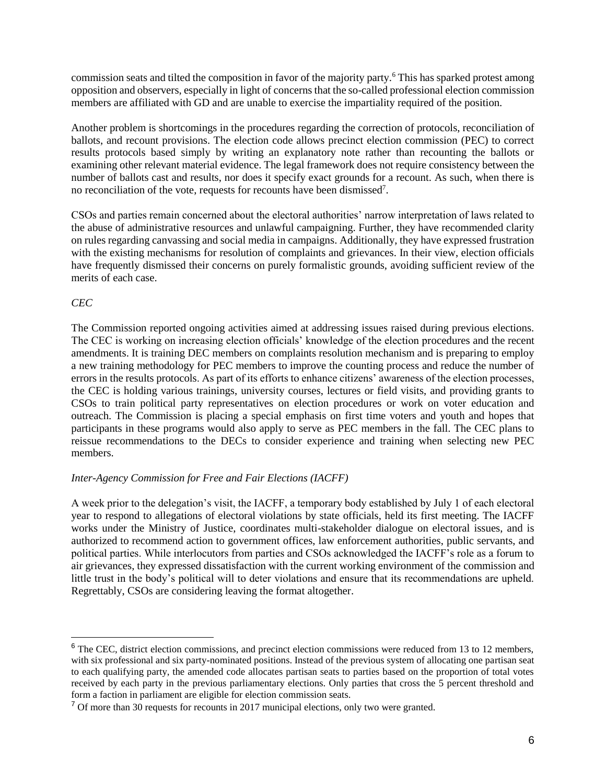commission seats and tilted the composition in favor of the majority party.<sup>6</sup> This has sparked protest among opposition and observers, especially in light of concerns that the so-called professional election commission members are affiliated with GD and are unable to exercise the impartiality required of the position.

Another problem is shortcomings in the procedures regarding the correction of protocols, reconciliation of ballots, and recount provisions. The election code allows precinct election commission (PEC) to correct results protocols based simply by writing an explanatory note rather than recounting the ballots or examining other relevant material evidence. The legal framework does not require consistency between the number of ballots cast and results, nor does it specify exact grounds for a recount. As such, when there is no reconciliation of the vote, requests for recounts have been dismissed<sup>7</sup>.

CSOs and parties remain concerned about the electoral authorities' narrow interpretation of laws related to the abuse of administrative resources and unlawful campaigning. Further, they have recommended clarity on rules regarding canvassing and social media in campaigns. Additionally, they have expressed frustration with the existing mechanisms for resolution of complaints and grievances. In their view, election officials have frequently dismissed their concerns on purely formalistic grounds, avoiding sufficient review of the merits of each case.

#### *CEC*

 $\overline{a}$ 

The Commission reported ongoing activities aimed at addressing issues raised during previous elections. The CEC is working on increasing election officials' knowledge of the election procedures and the recent amendments. It is training DEC members on complaints resolution mechanism and is preparing to employ a new training methodology for PEC members to improve the counting process and reduce the number of errors in the results protocols. As part of its efforts to enhance citizens' awareness of the election processes, the CEC is holding various trainings, university courses, lectures or field visits, and providing grants to CSOs to train political party representatives on election procedures or work on voter education and outreach. The Commission is placing a special emphasis on first time voters and youth and hopes that participants in these programs would also apply to serve as PEC members in the fall. The CEC plans to reissue recommendations to the DECs to consider experience and training when selecting new PEC members.

#### *Inter-Agency Commission for Free and Fair Elections (IACFF)*

A week prior to the delegation's visit, the IACFF, a temporary body established by July 1 of each electoral year to respond to allegations of electoral violations by state officials, held its first meeting. The IACFF works under the Ministry of Justice, coordinates multi-stakeholder dialogue on electoral issues, and is authorized to recommend action to government offices, law enforcement authorities, public servants, and political parties. While interlocutors from parties and CSOs acknowledged the IACFF's role as a forum to air grievances, they expressed dissatisfaction with the current working environment of the commission and little trust in the body's political will to deter violations and ensure that its recommendations are upheld. Regrettably, CSOs are considering leaving the format altogether.

<sup>&</sup>lt;sup>6</sup> The CEC, district election commissions, and precinct election commissions were reduced from 13 to 12 members, with six professional and six party-nominated positions. Instead of the previous system of allocating one partisan seat to each qualifying party, the amended code allocates partisan seats to parties based on the proportion of total votes received by each party in the previous parliamentary elections. Only parties that cross the 5 percent threshold and form a faction in parliament are eligible for election commission seats.

<sup>&</sup>lt;sup>7</sup> Of more than 30 requests for recounts in 2017 municipal elections, only two were granted.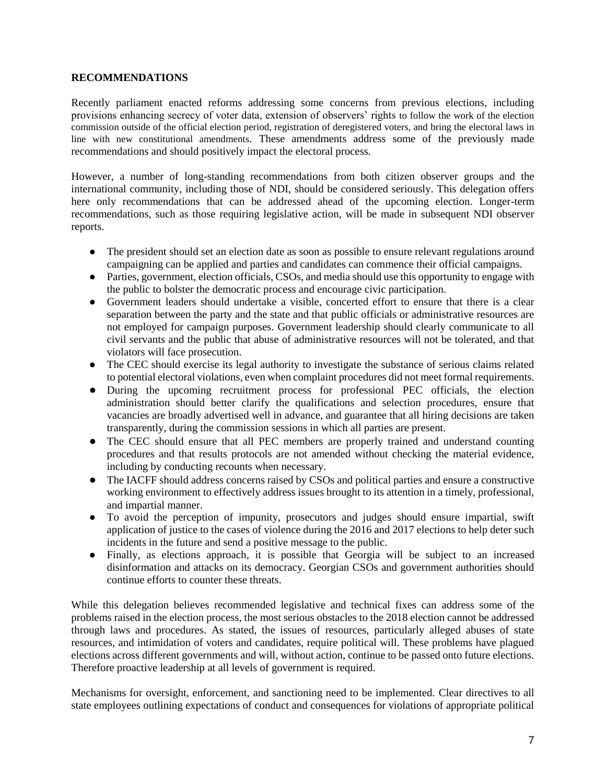#### **RECOMMENDATIONS**

Recently parliament enacted reforms addressing some concerns from previous elections, including provisions enhancing secrecy of voter data, extension of observers' rights to follow the work of the election commission outside of the official election period, registration of deregistered voters, and bring the electoral laws in line with new constitutional amendments. These amendments address some of the previously made recommendations and should positively impact the electoral process.

However, a number of long-standing recommendations from both citizen observer groups and the international community, including those of NDI, should be considered seriously. This delegation offers here only recommendations that can be addressed ahead of the upcoming election. Longer-term recommendations, such as those requiring legislative action, will be made in subsequent NDI observer reports.

- The president should set an election date as soon as possible to ensure relevant regulations around campaigning can be applied and parties and candidates can commence their official campaigns.
- Parties, government, election officials, CSOs, and media should use this opportunity to engage with the public to bolster the democratic process and encourage civic participation.
- Government leaders should undertake a visible, concerted effort to ensure that there is a clear separation between the party and the state and that public officials or administrative resources are not employed for campaign purposes. Government leadership should clearly communicate to all civil servants and the public that abuse of administrative resources will not be tolerated, and that violators will face prosecution.
- The CEC should exercise its legal authority to investigate the substance of serious claims related to potential electoral violations, even when complaint procedures did not meet formal requirements.
- During the upcoming recruitment process for professional PEC officials, the election administration should better clarify the qualifications and selection procedures, ensure that vacancies are broadly advertised well in advance, and guarantee that all hiring decisions are taken transparently, during the commission sessions in which all parties are present.
- The CEC should ensure that all PEC members are properly trained and understand counting procedures and that results protocols are not amended without checking the material evidence, including by conducting recounts when necessary.
- The IACFF should address concerns raised by CSOs and political parties and ensure a constructive working environment to effectively address issues brought to its attention in a timely, professional, and impartial manner.
- To avoid the perception of impunity, prosecutors and judges should ensure impartial, swift application of justice to the cases of violence during the 2016 and 2017 elections to help deter such incidents in the future and send a positive message to the public.
- Finally, as elections approach, it is possible that Georgia will be subject to an increased disinformation and attacks on its democracy. Georgian CSOs and government authorities should continue efforts to counter these threats.

While this delegation believes recommended legislative and technical fixes can address some of the problems raised in the election process, the most serious obstacles to the 2018 election cannot be addressed through laws and procedures. As stated, the issues of resources, particularly alleged abuses of state resources, and intimidation of voters and candidates, require political will. These problems have plagued elections across different governments and will, without action, continue to be passed onto future elections. Therefore proactive leadership at all levels of government is required.

Mechanisms for oversight, enforcement, and sanctioning need to be implemented. Clear directives to all state employees outlining expectations of conduct and consequences for violations of appropriate political